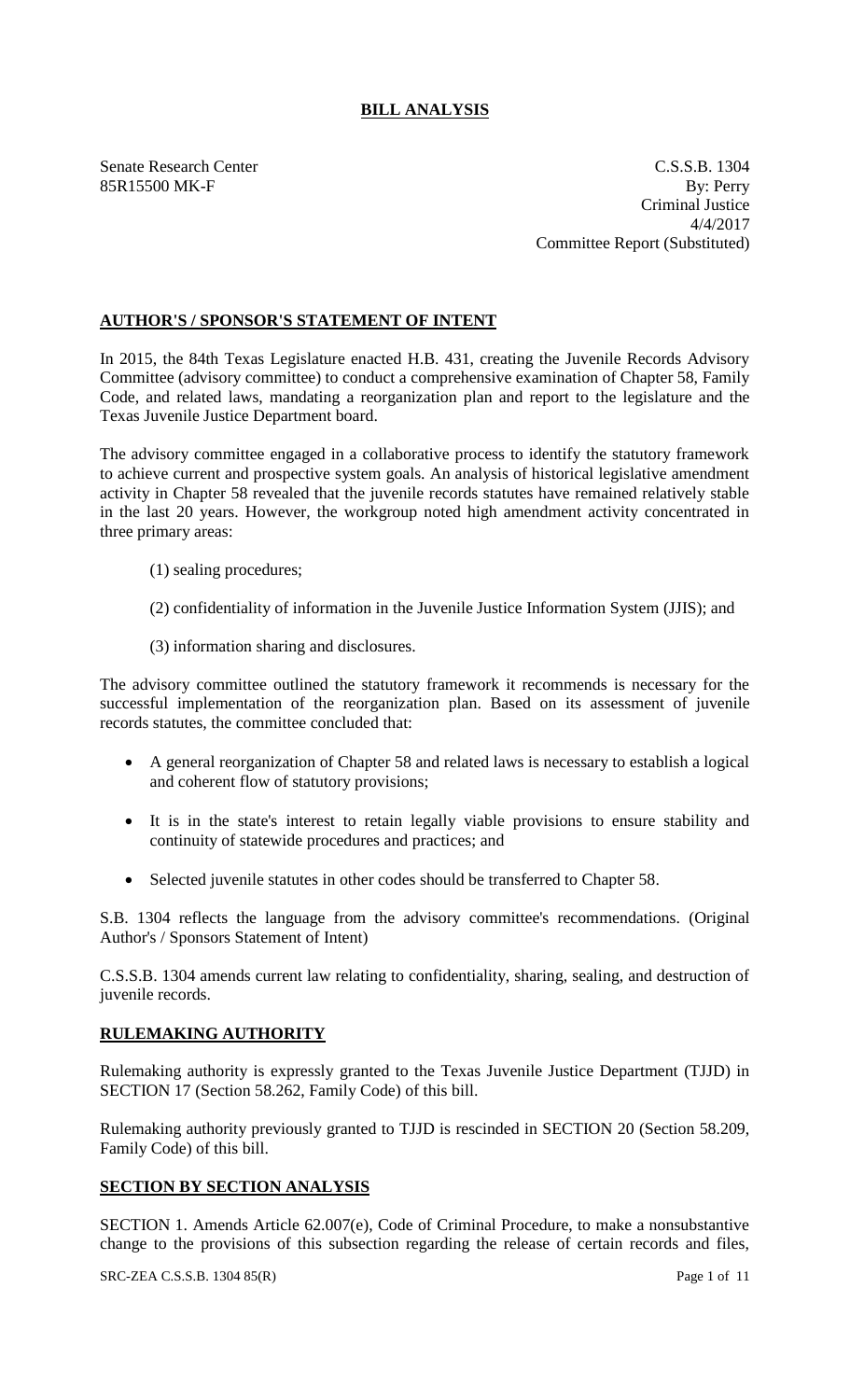## **BILL ANALYSIS**

Senate Research Center C.S.S.B. 1304 85R15500 MK-F By: Perry Criminal Justice 4/4/2017 Committee Report (Substituted)

## **AUTHOR'S / SPONSOR'S STATEMENT OF INTENT**

In 2015, the 84th Texas Legislature enacted H.B. 431, creating the Juvenile Records Advisory Committee (advisory committee) to conduct a comprehensive examination of Chapter 58, Family Code, and related laws, mandating a reorganization plan and report to the legislature and the Texas Juvenile Justice Department board.

The advisory committee engaged in a collaborative process to identify the statutory framework to achieve current and prospective system goals. An analysis of historical legislative amendment activity in Chapter 58 revealed that the juvenile records statutes have remained relatively stable in the last 20 years. However, the workgroup noted high amendment activity concentrated in three primary areas:

- (1) sealing procedures;
- (2) confidentiality of information in the Juvenile Justice Information System (JJIS); and
- (3) information sharing and disclosures.

The advisory committee outlined the statutory framework it recommends is necessary for the successful implementation of the reorganization plan. Based on its assessment of juvenile records statutes, the committee concluded that:

- A general reorganization of Chapter 58 and related laws is necessary to establish a logical and coherent flow of statutory provisions;
- It is in the state's interest to retain legally viable provisions to ensure stability and continuity of statewide procedures and practices; and
- Selected juvenile statutes in other codes should be transferred to Chapter 58.

S.B. 1304 reflects the language from the advisory committee's recommendations. (Original Author's / Sponsors Statement of Intent)

C.S.S.B. 1304 amends current law relating to confidentiality, sharing, sealing, and destruction of juvenile records.

## **RULEMAKING AUTHORITY**

Rulemaking authority is expressly granted to the Texas Juvenile Justice Department (TJJD) in SECTION 17 (Section 58.262, Family Code) of this bill.

Rulemaking authority previously granted to TJJD is rescinded in SECTION 20 (Section 58.209, Family Code) of this bill.

## **SECTION BY SECTION ANALYSIS**

SECTION 1. Amends Article 62.007(e), Code of Criminal Procedure, to make a nonsubstantive change to the provisions of this subsection regarding the release of certain records and files,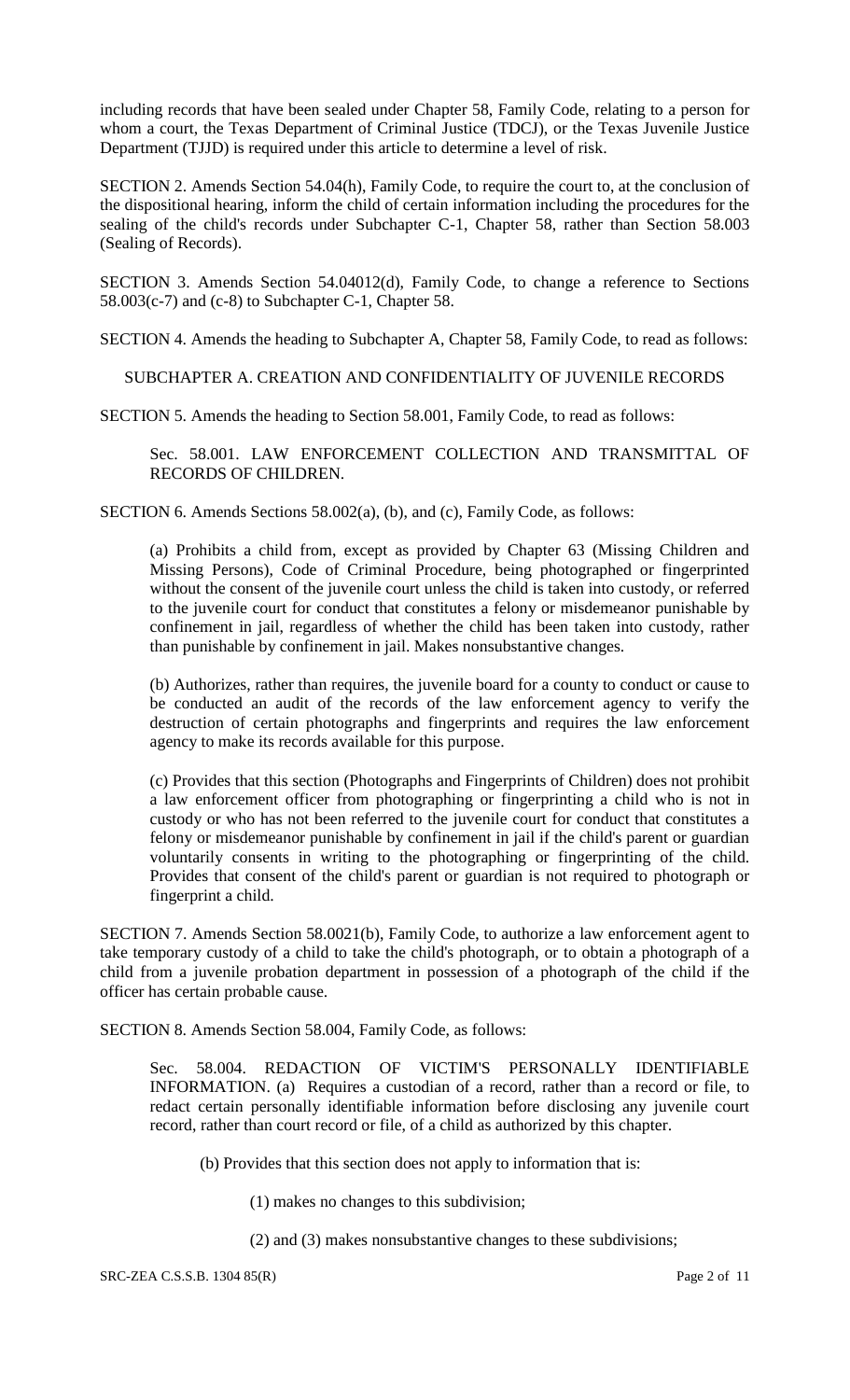including records that have been sealed under Chapter 58, Family Code, relating to a person for whom a court, the Texas Department of Criminal Justice (TDCJ), or the Texas Juvenile Justice Department (TJJD) is required under this article to determine a level of risk.

SECTION 2. Amends Section 54.04(h), Family Code, to require the court to, at the conclusion of the dispositional hearing, inform the child of certain information including the procedures for the sealing of the child's records under Subchapter C-1, Chapter 58, rather than Section 58.003 (Sealing of Records).

SECTION 3. Amends Section 54.04012(d), Family Code, to change a reference to Sections  $58.003(c-7)$  and  $(c-8)$  to Subchapter C-1, Chapter 58.

SECTION 4. Amends the heading to Subchapter A, Chapter 58, Family Code, to read as follows:

SUBCHAPTER A. CREATION AND CONFIDENTIALITY OF JUVENILE RECORDS

SECTION 5. Amends the heading to Section 58.001, Family Code, to read as follows:

Sec. 58.001. LAW ENFORCEMENT COLLECTION AND TRANSMITTAL OF RECORDS OF CHILDREN.

SECTION 6. Amends Sections 58.002(a), (b), and (c), Family Code, as follows:

(a) Prohibits a child from, except as provided by Chapter 63 (Missing Children and Missing Persons), Code of Criminal Procedure, being photographed or fingerprinted without the consent of the juvenile court unless the child is taken into custody, or referred to the juvenile court for conduct that constitutes a felony or misdemeanor punishable by confinement in jail, regardless of whether the child has been taken into custody, rather than punishable by confinement in jail. Makes nonsubstantive changes.

(b) Authorizes, rather than requires, the juvenile board for a county to conduct or cause to be conducted an audit of the records of the law enforcement agency to verify the destruction of certain photographs and fingerprints and requires the law enforcement agency to make its records available for this purpose.

(c) Provides that this section (Photographs and Fingerprints of Children) does not prohibit a law enforcement officer from photographing or fingerprinting a child who is not in custody or who has not been referred to the juvenile court for conduct that constitutes a felony or misdemeanor punishable by confinement in jail if the child's parent or guardian voluntarily consents in writing to the photographing or fingerprinting of the child. Provides that consent of the child's parent or guardian is not required to photograph or fingerprint a child.

SECTION 7. Amends Section 58.0021(b), Family Code, to authorize a law enforcement agent to take temporary custody of a child to take the child's photograph, or to obtain a photograph of a child from a juvenile probation department in possession of a photograph of the child if the officer has certain probable cause.

SECTION 8. Amends Section 58.004, Family Code, as follows:

Sec. 58.004. REDACTION OF VICTIM'S PERSONALLY IDENTIFIABLE INFORMATION. (a) Requires a custodian of a record, rather than a record or file, to redact certain personally identifiable information before disclosing any juvenile court record, rather than court record or file, of a child as authorized by this chapter.

(b) Provides that this section does not apply to information that is:

(1) makes no changes to this subdivision;

(2) and (3) makes nonsubstantive changes to these subdivisions;

SRC-ZEA C.S.S.B. 1304 85(R) Page 2 of 11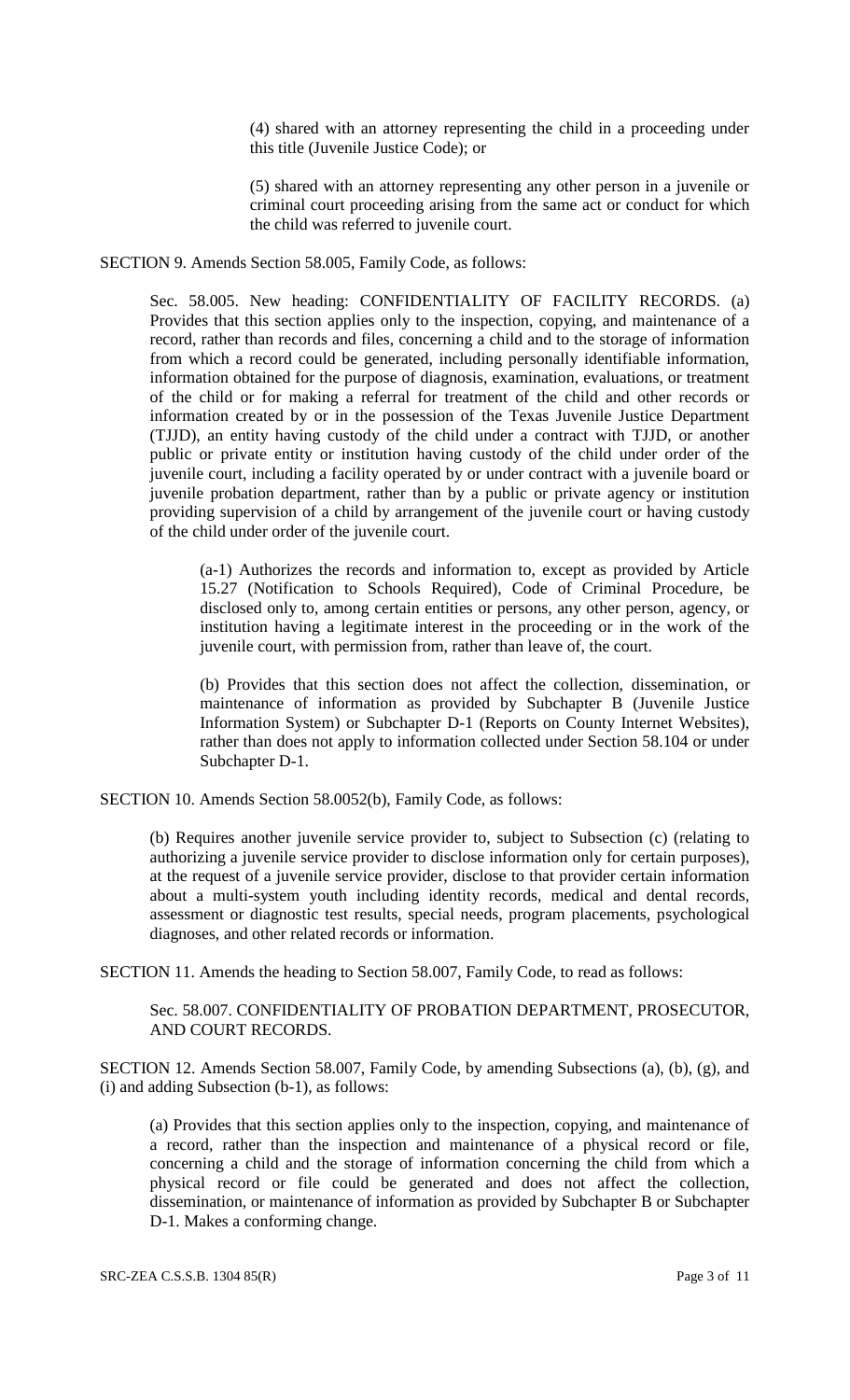(4) shared with an attorney representing the child in a proceeding under this title (Juvenile Justice Code); or

(5) shared with an attorney representing any other person in a juvenile or criminal court proceeding arising from the same act or conduct for which the child was referred to juvenile court.

SECTION 9. Amends Section 58.005, Family Code, as follows:

Sec. 58.005. New heading: CONFIDENTIALITY OF FACILITY RECORDS. (a) Provides that this section applies only to the inspection, copying, and maintenance of a record, rather than records and files, concerning a child and to the storage of information from which a record could be generated, including personally identifiable information, information obtained for the purpose of diagnosis, examination, evaluations, or treatment of the child or for making a referral for treatment of the child and other records or information created by or in the possession of the Texas Juvenile Justice Department (TJJD), an entity having custody of the child under a contract with TJJD, or another public or private entity or institution having custody of the child under order of the juvenile court, including a facility operated by or under contract with a juvenile board or juvenile probation department, rather than by a public or private agency or institution providing supervision of a child by arrangement of the juvenile court or having custody of the child under order of the juvenile court.

(a-1) Authorizes the records and information to, except as provided by Article 15.27 (Notification to Schools Required), Code of Criminal Procedure, be disclosed only to, among certain entities or persons, any other person, agency, or institution having a legitimate interest in the proceeding or in the work of the juvenile court, with permission from, rather than leave of, the court.

(b) Provides that this section does not affect the collection, dissemination, or maintenance of information as provided by Subchapter B (Juvenile Justice Information System) or Subchapter D-1 (Reports on County Internet Websites), rather than does not apply to information collected under Section 58.104 or under Subchapter D-1.

SECTION 10. Amends Section 58.0052(b), Family Code, as follows:

(b) Requires another juvenile service provider to, subject to Subsection (c) (relating to authorizing a juvenile service provider to disclose information only for certain purposes), at the request of a juvenile service provider, disclose to that provider certain information about a multi-system youth including identity records, medical and dental records, assessment or diagnostic test results, special needs, program placements, psychological diagnoses, and other related records or information.

SECTION 11. Amends the heading to Section 58.007, Family Code, to read as follows:

Sec. 58.007. CONFIDENTIALITY OF PROBATION DEPARTMENT, PROSECUTOR, AND COURT RECORDS.

SECTION 12. Amends Section 58.007, Family Code, by amending Subsections (a), (b), (g), and (i) and adding Subsection (b-1), as follows:

(a) Provides that this section applies only to the inspection, copying, and maintenance of a record, rather than the inspection and maintenance of a physical record or file, concerning a child and the storage of information concerning the child from which a physical record or file could be generated and does not affect the collection, dissemination, or maintenance of information as provided by Subchapter B or Subchapter D-1. Makes a conforming change.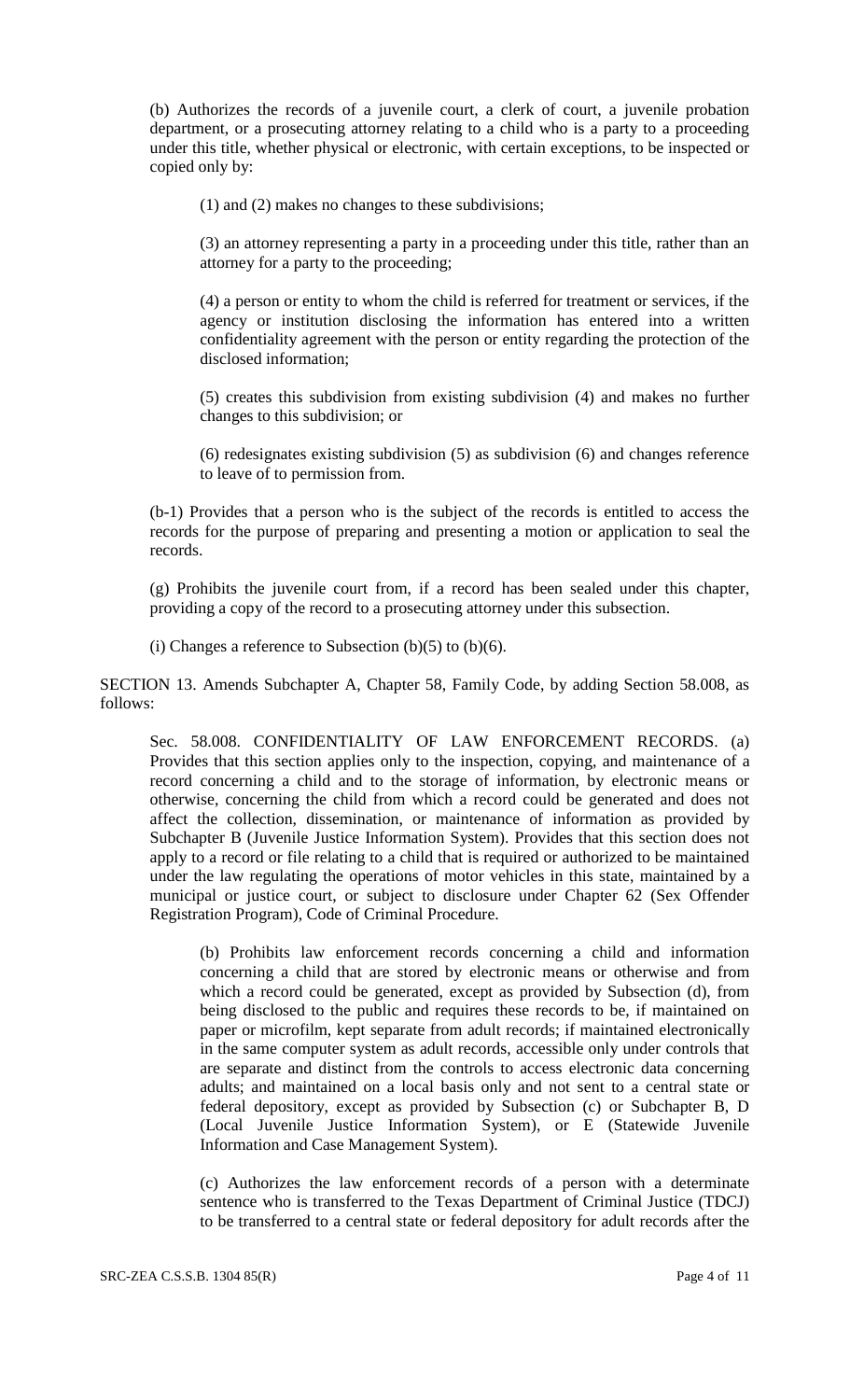(b) Authorizes the records of a juvenile court, a clerk of court, a juvenile probation department, or a prosecuting attorney relating to a child who is a party to a proceeding under this title, whether physical or electronic, with certain exceptions, to be inspected or copied only by:

(1) and (2) makes no changes to these subdivisions;

(3) an attorney representing a party in a proceeding under this title, rather than an attorney for a party to the proceeding;

(4) a person or entity to whom the child is referred for treatment or services, if the agency or institution disclosing the information has entered into a written confidentiality agreement with the person or entity regarding the protection of the disclosed information;

(5) creates this subdivision from existing subdivision (4) and makes no further changes to this subdivision; or

(6) redesignates existing subdivision (5) as subdivision (6) and changes reference to leave of to permission from.

(b-1) Provides that a person who is the subject of the records is entitled to access the records for the purpose of preparing and presenting a motion or application to seal the records.

(g) Prohibits the juvenile court from, if a record has been sealed under this chapter, providing a copy of the record to a prosecuting attorney under this subsection.

(i) Changes a reference to Subsection (b)(5) to (b)(6).

SECTION 13. Amends Subchapter A, Chapter 58, Family Code, by adding Section 58.008, as follows:

Sec. 58.008. CONFIDENTIALITY OF LAW ENFORCEMENT RECORDS. (a) Provides that this section applies only to the inspection, copying, and maintenance of a record concerning a child and to the storage of information, by electronic means or otherwise, concerning the child from which a record could be generated and does not affect the collection, dissemination, or maintenance of information as provided by Subchapter B (Juvenile Justice Information System). Provides that this section does not apply to a record or file relating to a child that is required or authorized to be maintained under the law regulating the operations of motor vehicles in this state, maintained by a municipal or justice court, or subject to disclosure under Chapter 62 (Sex Offender Registration Program), Code of Criminal Procedure.

(b) Prohibits law enforcement records concerning a child and information concerning a child that are stored by electronic means or otherwise and from which a record could be generated, except as provided by Subsection (d), from being disclosed to the public and requires these records to be, if maintained on paper or microfilm, kept separate from adult records; if maintained electronically in the same computer system as adult records, accessible only under controls that are separate and distinct from the controls to access electronic data concerning adults; and maintained on a local basis only and not sent to a central state or federal depository, except as provided by Subsection (c) or Subchapter B, D (Local Juvenile Justice Information System), or E (Statewide Juvenile Information and Case Management System).

(c) Authorizes the law enforcement records of a person with a determinate sentence who is transferred to the Texas Department of Criminal Justice (TDCJ) to be transferred to a central state or federal depository for adult records after the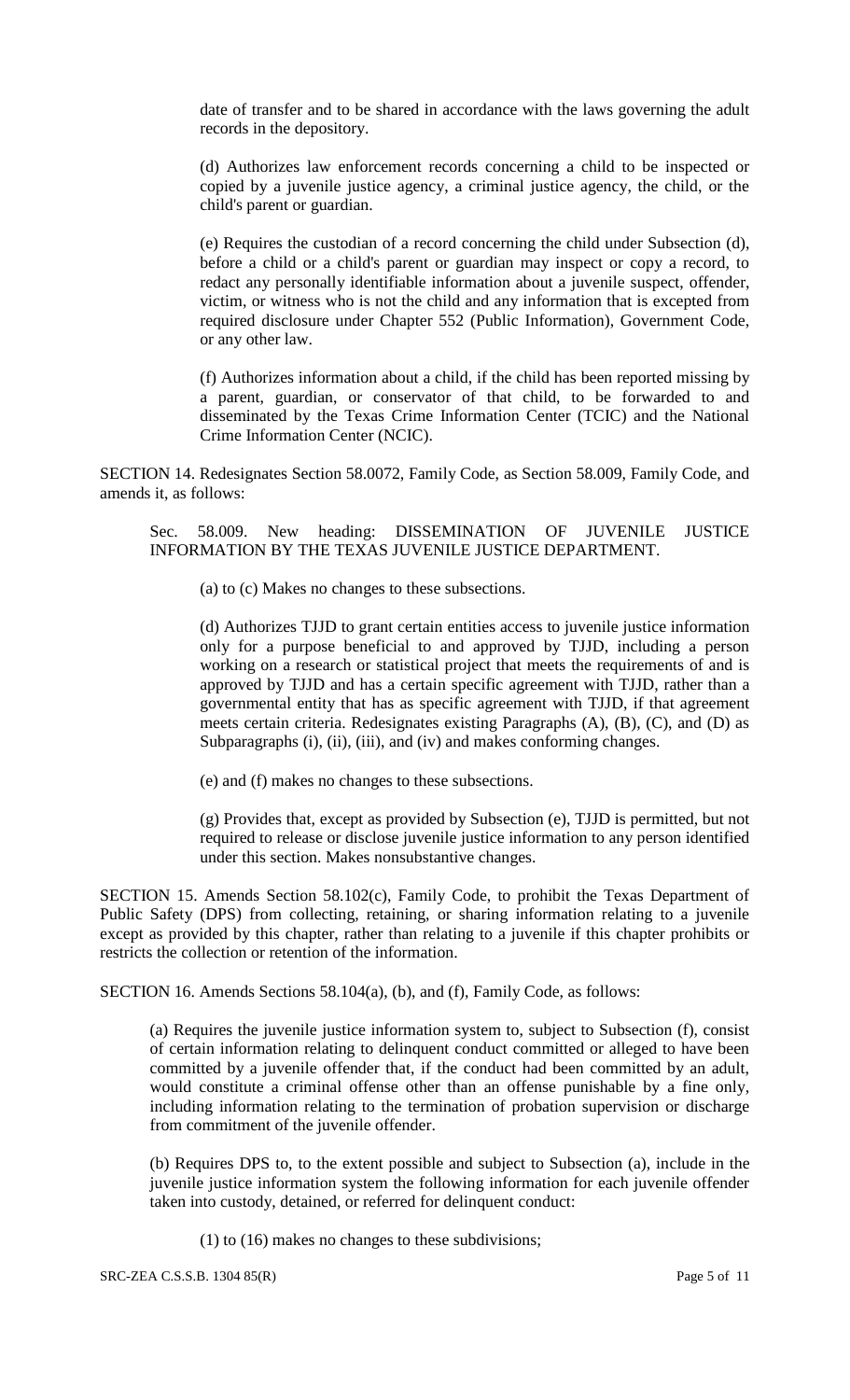date of transfer and to be shared in accordance with the laws governing the adult records in the depository.

(d) Authorizes law enforcement records concerning a child to be inspected or copied by a juvenile justice agency, a criminal justice agency, the child, or the child's parent or guardian.

(e) Requires the custodian of a record concerning the child under Subsection (d), before a child or a child's parent or guardian may inspect or copy a record, to redact any personally identifiable information about a juvenile suspect, offender, victim, or witness who is not the child and any information that is excepted from required disclosure under Chapter 552 (Public Information), Government Code, or any other law.

(f) Authorizes information about a child, if the child has been reported missing by a parent, guardian, or conservator of that child, to be forwarded to and disseminated by the Texas Crime Information Center (TCIC) and the National Crime Information Center (NCIC).

SECTION 14. Redesignates Section 58.0072, Family Code, as Section 58.009, Family Code, and amends it, as follows:

Sec. 58.009. New heading: DISSEMINATION OF JUVENILE JUSTICE INFORMATION BY THE TEXAS JUVENILE JUSTICE DEPARTMENT.

(a) to (c) Makes no changes to these subsections.

(d) Authorizes TJJD to grant certain entities access to juvenile justice information only for a purpose beneficial to and approved by TJJD, including a person working on a research or statistical project that meets the requirements of and is approved by TJJD and has a certain specific agreement with TJJD, rather than a governmental entity that has as specific agreement with TJJD, if that agreement meets certain criteria. Redesignates existing Paragraphs (A), (B), (C), and (D) as Subparagraphs (i), (ii), (iii), and (iv) and makes conforming changes.

(e) and (f) makes no changes to these subsections.

(g) Provides that, except as provided by Subsection (e), TJJD is permitted, but not required to release or disclose juvenile justice information to any person identified under this section. Makes nonsubstantive changes.

SECTION 15. Amends Section 58.102(c), Family Code, to prohibit the Texas Department of Public Safety (DPS) from collecting, retaining, or sharing information relating to a juvenile except as provided by this chapter, rather than relating to a juvenile if this chapter prohibits or restricts the collection or retention of the information.

SECTION 16. Amends Sections 58.104(a), (b), and (f), Family Code, as follows:

(a) Requires the juvenile justice information system to, subject to Subsection (f), consist of certain information relating to delinquent conduct committed or alleged to have been committed by a juvenile offender that, if the conduct had been committed by an adult, would constitute a criminal offense other than an offense punishable by a fine only, including information relating to the termination of probation supervision or discharge from commitment of the juvenile offender.

(b) Requires DPS to, to the extent possible and subject to Subsection (a), include in the juvenile justice information system the following information for each juvenile offender taken into custody, detained, or referred for delinquent conduct:

(1) to (16) makes no changes to these subdivisions;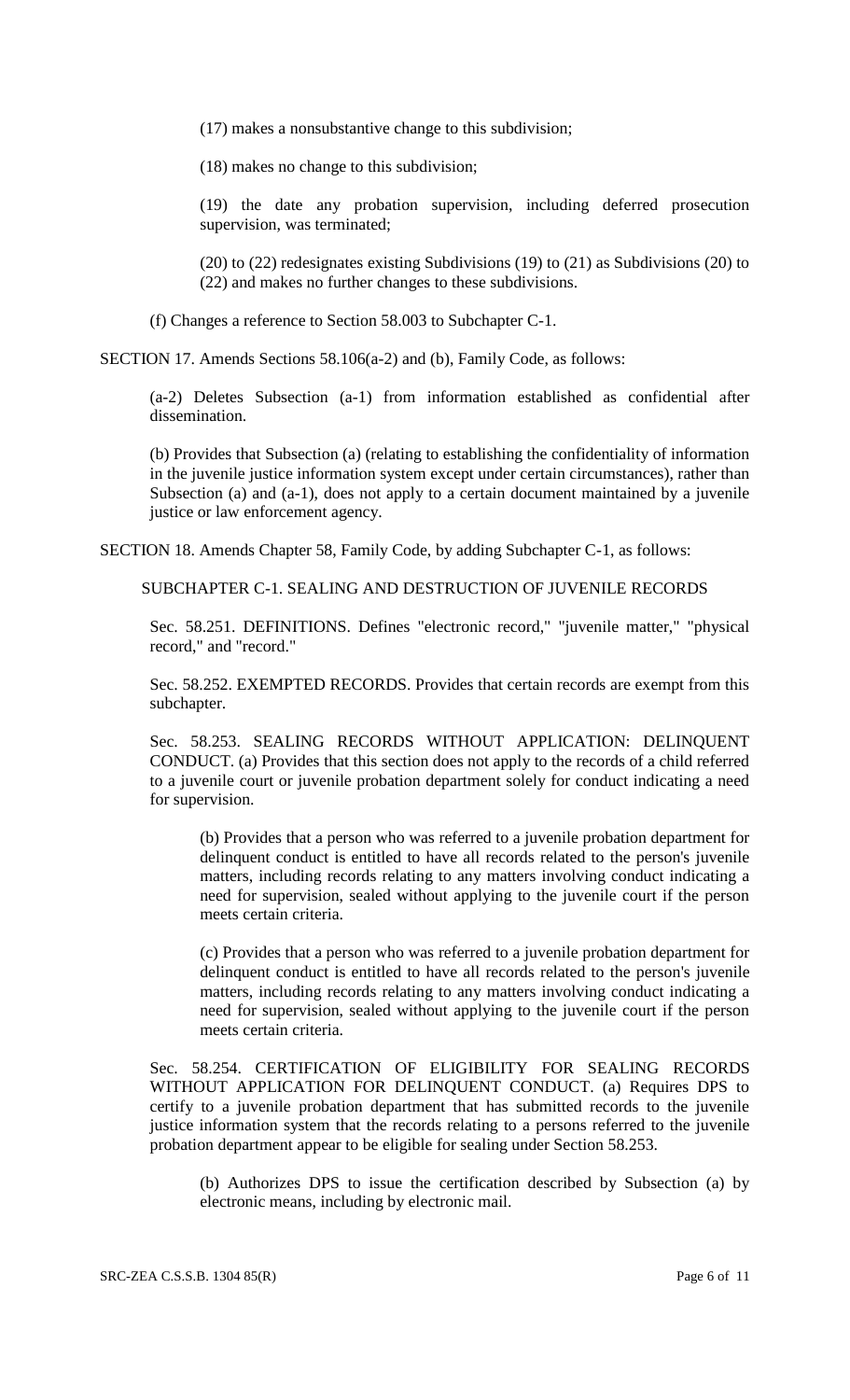(17) makes a nonsubstantive change to this subdivision;

(18) makes no change to this subdivision;

(19) the date any probation supervision, including deferred prosecution supervision, was terminated;

(20) to (22) redesignates existing Subdivisions (19) to (21) as Subdivisions (20) to (22) and makes no further changes to these subdivisions.

(f) Changes a reference to Section 58.003 to Subchapter C-1.

SECTION 17. Amends Sections 58.106(a-2) and (b), Family Code, as follows:

(a-2) Deletes Subsection (a-1) from information established as confidential after dissemination.

(b) Provides that Subsection (a) (relating to establishing the confidentiality of information in the juvenile justice information system except under certain circumstances), rather than Subsection (a) and (a-1), does not apply to a certain document maintained by a juvenile justice or law enforcement agency.

SECTION 18. Amends Chapter 58, Family Code, by adding Subchapter C-1, as follows:

SUBCHAPTER C-1. SEALING AND DESTRUCTION OF JUVENILE RECORDS

Sec. 58.251. DEFINITIONS. Defines "electronic record," "juvenile matter," "physical record," and "record."

Sec. 58.252. EXEMPTED RECORDS. Provides that certain records are exempt from this subchapter.

Sec. 58.253. SEALING RECORDS WITHOUT APPLICATION: DELINQUENT CONDUCT. (a) Provides that this section does not apply to the records of a child referred to a juvenile court or juvenile probation department solely for conduct indicating a need for supervision.

(b) Provides that a person who was referred to a juvenile probation department for delinquent conduct is entitled to have all records related to the person's juvenile matters, including records relating to any matters involving conduct indicating a need for supervision, sealed without applying to the juvenile court if the person meets certain criteria.

(c) Provides that a person who was referred to a juvenile probation department for delinquent conduct is entitled to have all records related to the person's juvenile matters, including records relating to any matters involving conduct indicating a need for supervision, sealed without applying to the juvenile court if the person meets certain criteria.

Sec. 58.254. CERTIFICATION OF ELIGIBILITY FOR SEALING RECORDS WITHOUT APPLICATION FOR DELINQUENT CONDUCT. (a) Requires DPS to certify to a juvenile probation department that has submitted records to the juvenile justice information system that the records relating to a persons referred to the juvenile probation department appear to be eligible for sealing under Section 58.253.

(b) Authorizes DPS to issue the certification described by Subsection (a) by electronic means, including by electronic mail.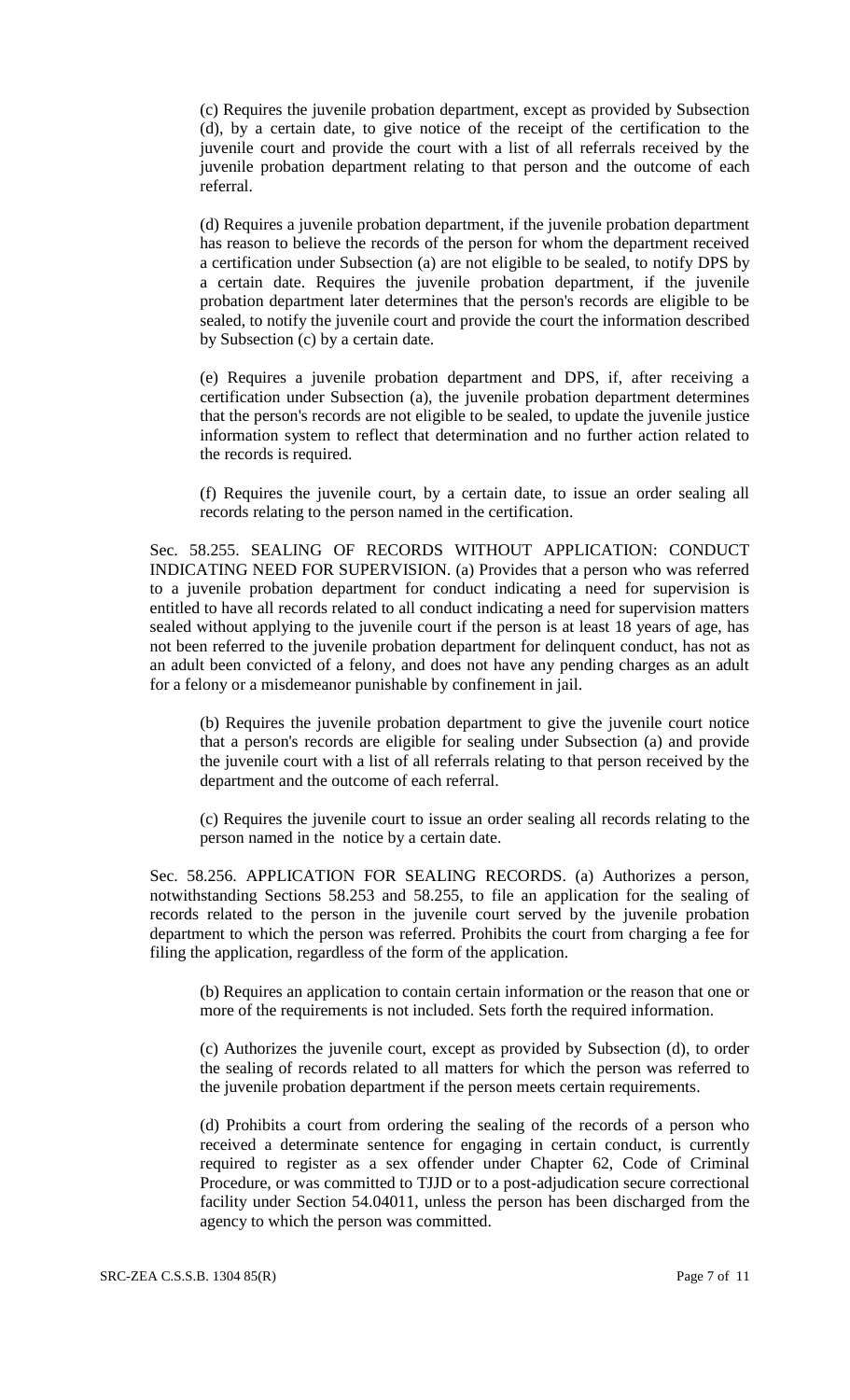(c) Requires the juvenile probation department, except as provided by Subsection (d), by a certain date, to give notice of the receipt of the certification to the juvenile court and provide the court with a list of all referrals received by the juvenile probation department relating to that person and the outcome of each referral.

(d) Requires a juvenile probation department, if the juvenile probation department has reason to believe the records of the person for whom the department received a certification under Subsection (a) are not eligible to be sealed, to notify DPS by a certain date. Requires the juvenile probation department, if the juvenile probation department later determines that the person's records are eligible to be sealed, to notify the juvenile court and provide the court the information described by Subsection (c) by a certain date.

(e) Requires a juvenile probation department and DPS, if, after receiving a certification under Subsection (a), the juvenile probation department determines that the person's records are not eligible to be sealed, to update the juvenile justice information system to reflect that determination and no further action related to the records is required.

(f) Requires the juvenile court, by a certain date, to issue an order sealing all records relating to the person named in the certification.

Sec. 58.255. SEALING OF RECORDS WITHOUT APPLICATION: CONDUCT INDICATING NEED FOR SUPERVISION. (a) Provides that a person who was referred to a juvenile probation department for conduct indicating a need for supervision is entitled to have all records related to all conduct indicating a need for supervision matters sealed without applying to the juvenile court if the person is at least 18 years of age, has not been referred to the juvenile probation department for delinquent conduct, has not as an adult been convicted of a felony, and does not have any pending charges as an adult for a felony or a misdemeanor punishable by confinement in jail.

(b) Requires the juvenile probation department to give the juvenile court notice that a person's records are eligible for sealing under Subsection (a) and provide the juvenile court with a list of all referrals relating to that person received by the department and the outcome of each referral.

(c) Requires the juvenile court to issue an order sealing all records relating to the person named in the notice by a certain date.

Sec. 58.256. APPLICATION FOR SEALING RECORDS. (a) Authorizes a person, notwithstanding Sections 58.253 and 58.255, to file an application for the sealing of records related to the person in the juvenile court served by the juvenile probation department to which the person was referred. Prohibits the court from charging a fee for filing the application, regardless of the form of the application.

(b) Requires an application to contain certain information or the reason that one or more of the requirements is not included. Sets forth the required information.

(c) Authorizes the juvenile court, except as provided by Subsection (d), to order the sealing of records related to all matters for which the person was referred to the juvenile probation department if the person meets certain requirements.

(d) Prohibits a court from ordering the sealing of the records of a person who received a determinate sentence for engaging in certain conduct, is currently required to register as a sex offender under Chapter 62, Code of Criminal Procedure, or was committed to TJJD or to a post-adjudication secure correctional facility under Section 54.04011, unless the person has been discharged from the agency to which the person was committed.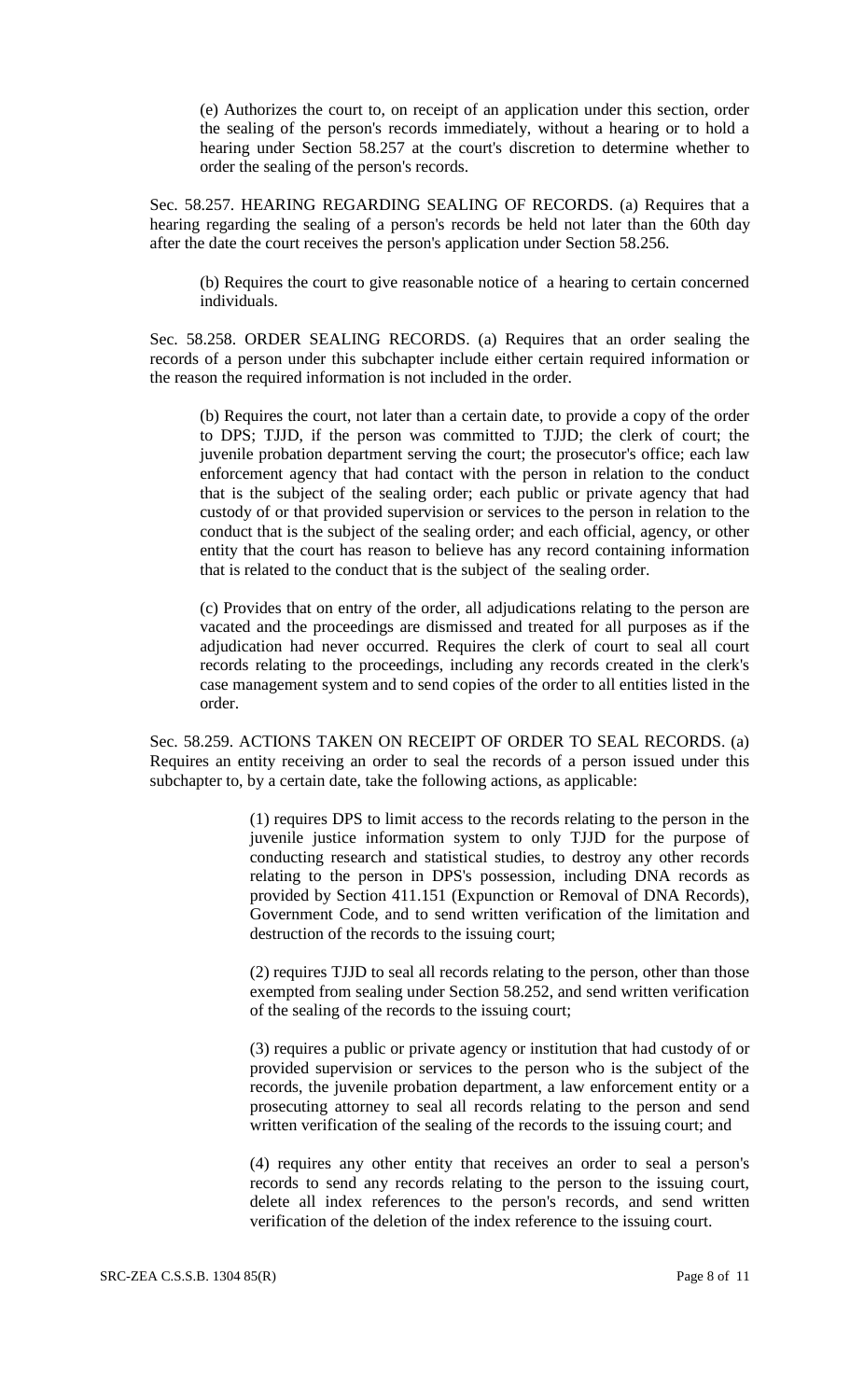(e) Authorizes the court to, on receipt of an application under this section, order the sealing of the person's records immediately, without a hearing or to hold a hearing under Section 58.257 at the court's discretion to determine whether to order the sealing of the person's records.

Sec. 58.257. HEARING REGARDING SEALING OF RECORDS. (a) Requires that a hearing regarding the sealing of a person's records be held not later than the 60th day after the date the court receives the person's application under Section 58.256.

(b) Requires the court to give reasonable notice of a hearing to certain concerned individuals.

Sec. 58.258. ORDER SEALING RECORDS. (a) Requires that an order sealing the records of a person under this subchapter include either certain required information or the reason the required information is not included in the order.

(b) Requires the court, not later than a certain date, to provide a copy of the order to DPS; TJJD, if the person was committed to TJJD; the clerk of court; the juvenile probation department serving the court; the prosecutor's office; each law enforcement agency that had contact with the person in relation to the conduct that is the subject of the sealing order; each public or private agency that had custody of or that provided supervision or services to the person in relation to the conduct that is the subject of the sealing order; and each official, agency, or other entity that the court has reason to believe has any record containing information that is related to the conduct that is the subject of the sealing order.

(c) Provides that on entry of the order, all adjudications relating to the person are vacated and the proceedings are dismissed and treated for all purposes as if the adjudication had never occurred. Requires the clerk of court to seal all court records relating to the proceedings, including any records created in the clerk's case management system and to send copies of the order to all entities listed in the order.

Sec. 58.259. ACTIONS TAKEN ON RECEIPT OF ORDER TO SEAL RECORDS. (a) Requires an entity receiving an order to seal the records of a person issued under this subchapter to, by a certain date, take the following actions, as applicable:

> (1) requires DPS to limit access to the records relating to the person in the juvenile justice information system to only TJJD for the purpose of conducting research and statistical studies, to destroy any other records relating to the person in DPS's possession, including DNA records as provided by Section 411.151 (Expunction or Removal of DNA Records), Government Code, and to send written verification of the limitation and destruction of the records to the issuing court;

> (2) requires TJJD to seal all records relating to the person, other than those exempted from sealing under Section 58.252, and send written verification of the sealing of the records to the issuing court;

> (3) requires a public or private agency or institution that had custody of or provided supervision or services to the person who is the subject of the records, the juvenile probation department, a law enforcement entity or a prosecuting attorney to seal all records relating to the person and send written verification of the sealing of the records to the issuing court; and

> (4) requires any other entity that receives an order to seal a person's records to send any records relating to the person to the issuing court, delete all index references to the person's records, and send written verification of the deletion of the index reference to the issuing court.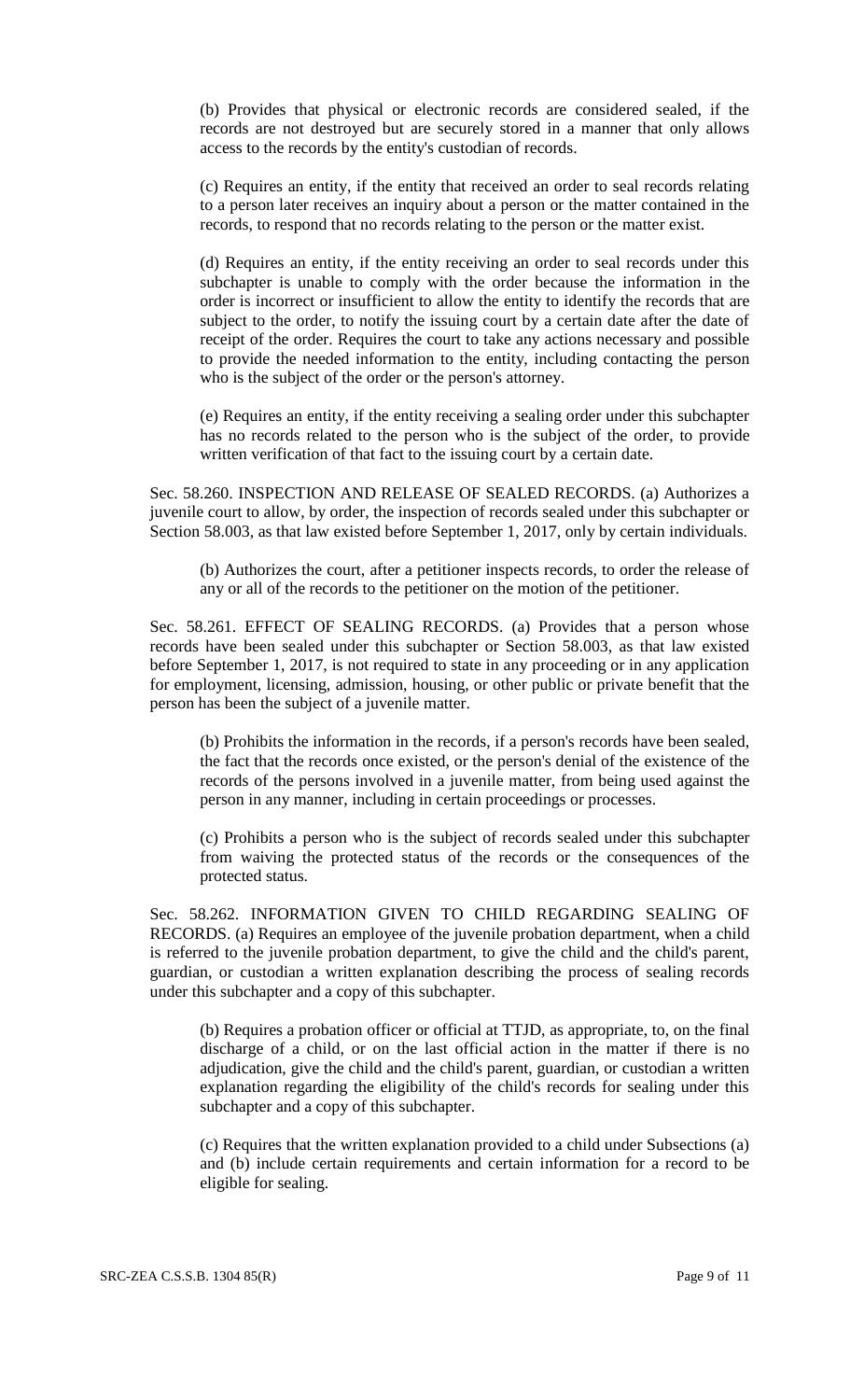(b) Provides that physical or electronic records are considered sealed, if the records are not destroyed but are securely stored in a manner that only allows access to the records by the entity's custodian of records.

(c) Requires an entity, if the entity that received an order to seal records relating to a person later receives an inquiry about a person or the matter contained in the records, to respond that no records relating to the person or the matter exist.

(d) Requires an entity, if the entity receiving an order to seal records under this subchapter is unable to comply with the order because the information in the order is incorrect or insufficient to allow the entity to identify the records that are subject to the order, to notify the issuing court by a certain date after the date of receipt of the order. Requires the court to take any actions necessary and possible to provide the needed information to the entity, including contacting the person who is the subject of the order or the person's attorney.

(e) Requires an entity, if the entity receiving a sealing order under this subchapter has no records related to the person who is the subject of the order, to provide written verification of that fact to the issuing court by a certain date.

Sec. 58.260. INSPECTION AND RELEASE OF SEALED RECORDS. (a) Authorizes a juvenile court to allow, by order, the inspection of records sealed under this subchapter or Section 58.003, as that law existed before September 1, 2017, only by certain individuals.

(b) Authorizes the court, after a petitioner inspects records, to order the release of any or all of the records to the petitioner on the motion of the petitioner.

Sec. 58.261. EFFECT OF SEALING RECORDS. (a) Provides that a person whose records have been sealed under this subchapter or Section 58.003, as that law existed before September 1, 2017, is not required to state in any proceeding or in any application for employment, licensing, admission, housing, or other public or private benefit that the person has been the subject of a juvenile matter.

(b) Prohibits the information in the records, if a person's records have been sealed, the fact that the records once existed, or the person's denial of the existence of the records of the persons involved in a juvenile matter, from being used against the person in any manner, including in certain proceedings or processes.

(c) Prohibits a person who is the subject of records sealed under this subchapter from waiving the protected status of the records or the consequences of the protected status.

Sec. 58.262. INFORMATION GIVEN TO CHILD REGARDING SEALING OF RECORDS. (a) Requires an employee of the juvenile probation department, when a child is referred to the juvenile probation department, to give the child and the child's parent, guardian, or custodian a written explanation describing the process of sealing records under this subchapter and a copy of this subchapter.

(b) Requires a probation officer or official at TTJD, as appropriate, to, on the final discharge of a child, or on the last official action in the matter if there is no adjudication, give the child and the child's parent, guardian, or custodian a written explanation regarding the eligibility of the child's records for sealing under this subchapter and a copy of this subchapter.

(c) Requires that the written explanation provided to a child under Subsections (a) and (b) include certain requirements and certain information for a record to be eligible for sealing.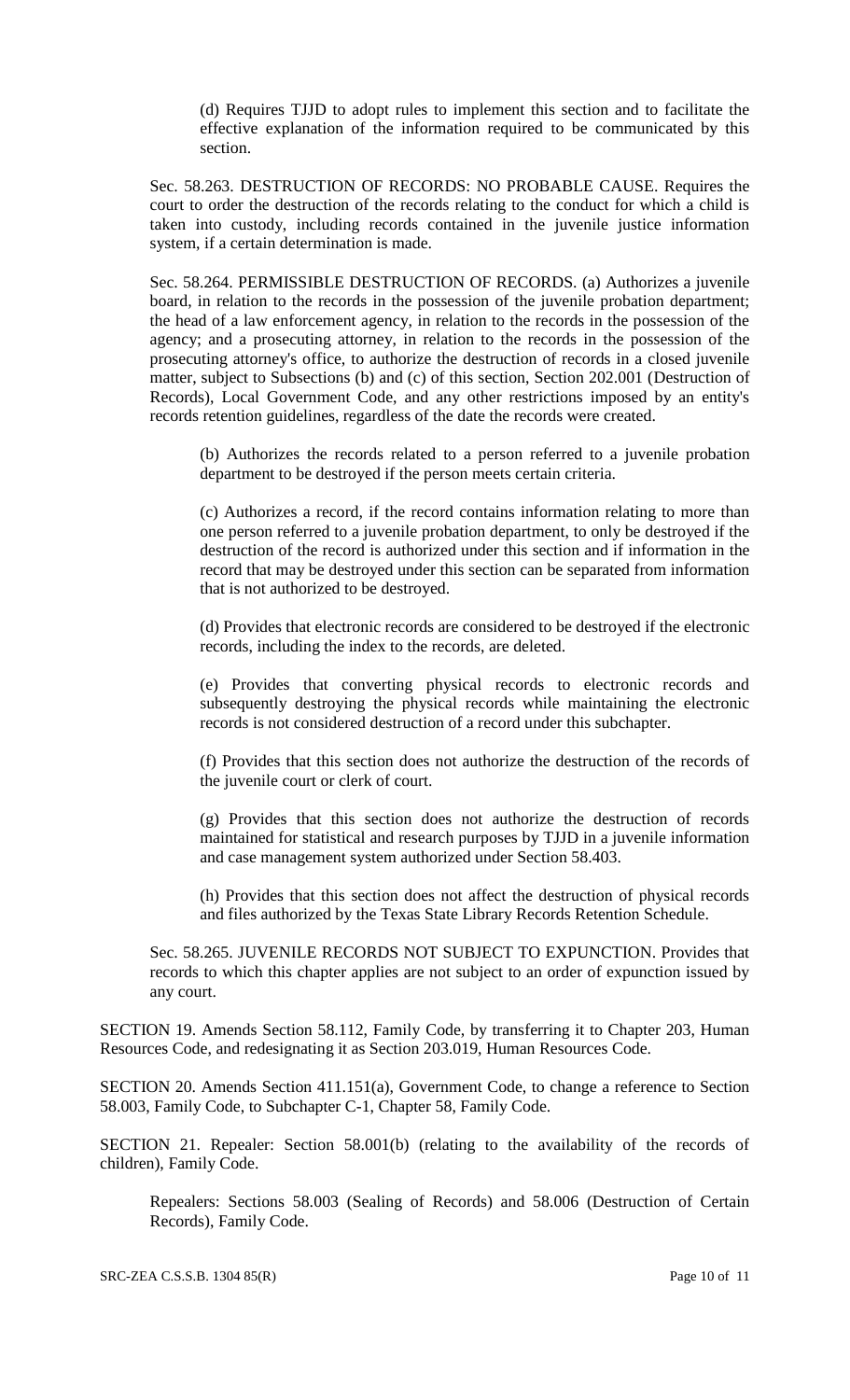(d) Requires TJJD to adopt rules to implement this section and to facilitate the effective explanation of the information required to be communicated by this section.

Sec. 58.263. DESTRUCTION OF RECORDS: NO PROBABLE CAUSE. Requires the court to order the destruction of the records relating to the conduct for which a child is taken into custody, including records contained in the juvenile justice information system, if a certain determination is made.

Sec. 58.264. PERMISSIBLE DESTRUCTION OF RECORDS. (a) Authorizes a juvenile board, in relation to the records in the possession of the juvenile probation department; the head of a law enforcement agency, in relation to the records in the possession of the agency; and a prosecuting attorney, in relation to the records in the possession of the prosecuting attorney's office, to authorize the destruction of records in a closed juvenile matter, subject to Subsections (b) and (c) of this section, Section 202.001 (Destruction of Records), Local Government Code, and any other restrictions imposed by an entity's records retention guidelines, regardless of the date the records were created.

(b) Authorizes the records related to a person referred to a juvenile probation department to be destroyed if the person meets certain criteria.

(c) Authorizes a record, if the record contains information relating to more than one person referred to a juvenile probation department, to only be destroyed if the destruction of the record is authorized under this section and if information in the record that may be destroyed under this section can be separated from information that is not authorized to be destroyed.

(d) Provides that electronic records are considered to be destroyed if the electronic records, including the index to the records, are deleted.

(e) Provides that converting physical records to electronic records and subsequently destroying the physical records while maintaining the electronic records is not considered destruction of a record under this subchapter.

(f) Provides that this section does not authorize the destruction of the records of the juvenile court or clerk of court.

(g) Provides that this section does not authorize the destruction of records maintained for statistical and research purposes by TJJD in a juvenile information and case management system authorized under Section 58.403.

(h) Provides that this section does not affect the destruction of physical records and files authorized by the Texas State Library Records Retention Schedule.

Sec. 58.265. JUVENILE RECORDS NOT SUBJECT TO EXPUNCTION. Provides that records to which this chapter applies are not subject to an order of expunction issued by any court.

SECTION 19. Amends Section 58.112, Family Code, by transferring it to Chapter 203, Human Resources Code, and redesignating it as Section 203.019, Human Resources Code.

SECTION 20. Amends Section 411.151(a), Government Code, to change a reference to Section 58.003, Family Code, to Subchapter C-1, Chapter 58, Family Code.

SECTION 21. Repealer: Section 58.001(b) (relating to the availability of the records of children), Family Code.

Repealers: Sections 58.003 (Sealing of Records) and 58.006 (Destruction of Certain Records), Family Code.